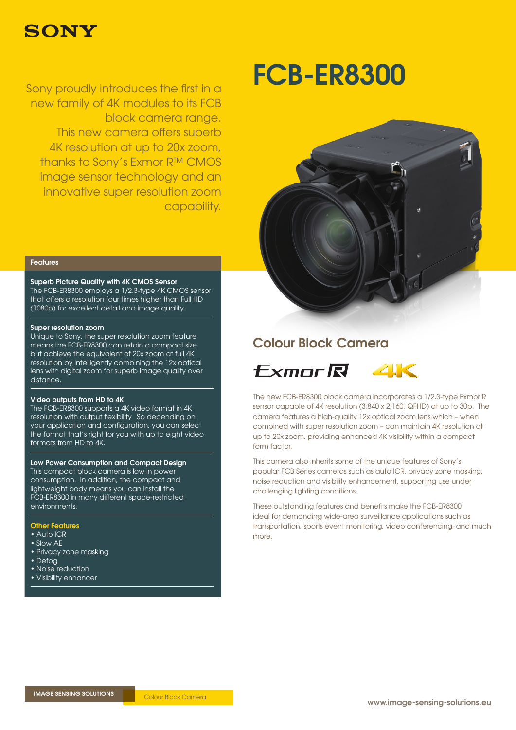

new family of 4K modules to its FCB block camera range. This new camera offers superb 4K resolution at up to 20x zoom, thanks to Sony's Exmor R™ CMOS image sensor technology and an innovative super resolution zoom capability.

# Sony proudly introduces the first in a **FCB-ER8300**



#### Features

#### Superb Picture Quality with 4K CMOS Sensor

The FCB-ER8300 employs a 1/2.3-type 4K CMOS sensor that offers a resolution four times higher than Full HD (1080p) for excellent detail and image quality.

#### Super resolution zoom

Unique to Sony, the super resolution zoom feature means the FCB-ER8300 can retain a compact size but achieve the equivalent of 20x zoom at full 4K resolution by intelligently combining the 12x optical lens with digital zoom for superb image quality over distance.

#### Video outputs from HD to 4K

The FCB-ER8300 supports a 4K video format in 4K resolution with output flexibility. So depending on your application and configuration, you can select the format that's right for you with up to eight video formats from HD to 4K.

#### Low Power Consumption and Compact Design

This compact block camera is low in power consumption. In addition, the compact and lightweight body means you can install the FCB-ER8300 in many different space-restricted environments.

#### Other Features

- Auto ICR
- Slow AE
- Privacy zone masking
- Defog
- Noise reduction
- Visibility enhancer

### Colour Block Camera



The new FCB-ER8300 block camera incorporates a 1/2.3-type Exmor R sensor capable of 4K resolution (3,840 x 2,160, QFHD) at up to 30p. The camera features a high-quality 12x optical zoom lens which – when combined with super resolution zoom – can maintain 4K resolution at up to 20x zoom, providing enhanced 4K visibility within a compact form factor.

This camera also inherits some of the unique features of Sony's popular FCB Series cameras such as auto ICR, privacy zone masking, noise reduction and visibility enhancement, supporting use under challenging lighting conditions.

These outstanding features and benefits make the FCB-ER8300 ideal for demanding wide-area surveillance applications such as transportation, sports event monitoring, video conferencing, and much more.